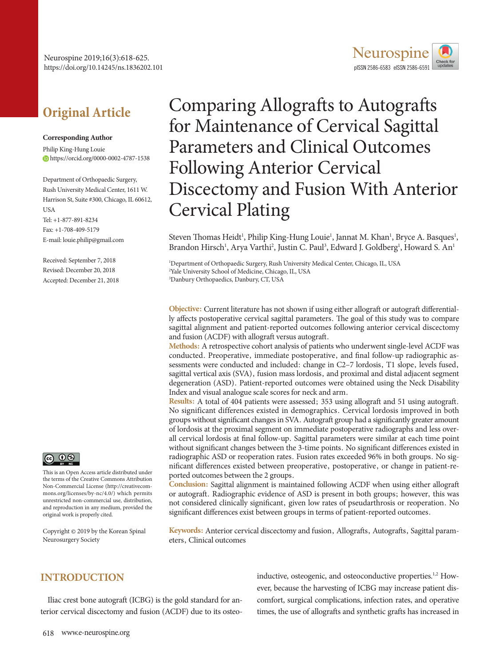

# **Original Article**

#### **Corresponding Author**

Philip King-Hung Louie https://orcid.org/0000-0002-4787-1538

Department of Orthopaedic Surgery, Rush University Medical Center, 1611 W. Harrison St, Suite #300, Chicago, IL 60612, **USA** Tel: +1-877-891-8234 Fax: +1-708-409-5179 E-mail: louie.philip@gmail.com

Received: September 7, 2018 Revised: December 20, 2018 Accepted: December 21, 2018



This is an Open Access article distributed under the terms of the Creative Commons Attribution Non-Commercial License (http://creativecommons.org/licenses/by-nc/4.0/) which permits unrestricted non-commercial use, distribution, and reproduction in any medium, provided the original work is properly cited.

Copyright © 2019 by the Korean Spinal Neurosurgery Society

# Comparing Allografts to Autografts for Maintenance of Cervical Sagittal Parameters and Clinical Outcomes Following Anterior Cervical Discectomy and Fusion With Anterior Cervical Plating

Steven Thomas Heidt<sup>1</sup>, Philip King-Hung Louie<sup>1</sup>, Jannat M. Khan<sup>1</sup>, Bryce A. Basques<sup>1</sup>, Brandon Hirsch<sup>1</sup>, Arya Varthi<sup>2</sup>, Justin C. Paul<sup>3</sup>, Edward J. Goldberg<sup>1</sup>, Howard S. An<sup>1</sup>

1 Department of Orthopaedic Surgery, Rush University Medical Center, Chicago, IL, USA 2 Yale University School of Medicine, Chicago, IL, USA 3 Danbury Orthopaedics, Danbury, CT, USA

**Objective:** Current literature has not shown if using either allograft or autograft differentially affects postoperative cervical sagittal parameters. The goal of this study was to compare sagittal alignment and patient-reported outcomes following anterior cervical discectomy and fusion (ACDF) with allograft versus autograft.

**Methods:** A retrospective cohort analysis of patients who underwent single-level ACDF was conducted. Preoperative, immediate postoperative, and final follow-up radiographic assessments were conducted and included: change in C2–7 lordosis, T1 slope, levels fused, sagittal vertical axis (SVA), fusion mass lordosis, and proximal and distal adjacent segment degeneration (ASD). Patient-reported outcomes were obtained using the Neck Disability Index and visual analogue scale scores for neck and arm.

**Results:** A total of 404 patients were assessed; 353 using allograft and 51 using autograft. No significant differences existed in demographics. Cervical lordosis improved in both groups without significant changes in SVA. Autograft group had a significantly greater amount of lordosis at the proximal segment on immediate postoperative radiographs and less overall cervical lordosis at final follow-up. Sagittal parameters were similar at each time point without significant changes between the 3-time points. No significant differences existed in radiographic ASD or reoperation rates. Fusion rates exceeded 96% in both groups. No significant differences existed between preoperative, postoperative, or change in patient-reported outcomes between the 2 groups.

**Conclusion:** Sagittal alignment is maintained following ACDF when using either allograft or autograft. Radiographic evidence of ASD is present in both groups; however, this was not considered clinically significant, given low rates of pseudarthrosis or reoperation. No significant differences exist between groups in terms of patient-reported outcomes.

**Keywords:** Anterior cervical discectomy and fusion, Allografts, Autografts, Sagittal parameters, Clinical outcomes

# **INTRODUCTION**

Iliac crest bone autograft (ICBG) is the gold standard for anterior cervical discectomy and fusion (ACDF) due to its osteoinductive, osteogenic, and osteoconductive properties.<sup>1,2</sup> However, because the harvesting of ICBG may increase patient discomfort, surgical complications, infection rates, and operative times, the use of allografts and synthetic grafts has increased in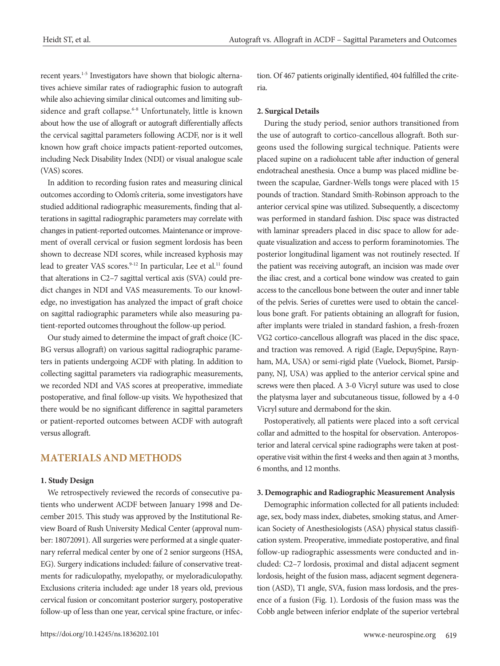recent years.1-5 Investigators have shown that biologic alternatives achieve similar rates of radiographic fusion to autograft while also achieving similar clinical outcomes and limiting subsidence and graft collapse.<sup>6-8</sup> Unfortunately, little is known about how the use of allograft or autograft differentially affects the cervical sagittal parameters following ACDF, nor is it well known how graft choice impacts patient-reported outcomes, including Neck Disability Index (NDI) or visual analogue scale (VAS) scores.

In addition to recording fusion rates and measuring clinical outcomes according to Odom's criteria, some investigators have studied additional radiographic measurements, finding that alterations in sagittal radiographic parameters may correlate with changes in patient-reported outcomes. Maintenance or improvement of overall cervical or fusion segment lordosis has been shown to decrease NDI scores, while increased kyphosis may lead to greater VAS scores.<sup>9-12</sup> In particular, Lee et al.<sup>11</sup> found that alterations in C2–7 sagittal vertical axis (SVA) could predict changes in NDI and VAS measurements. To our knowledge, no investigation has analyzed the impact of graft choice on sagittal radiographic parameters while also measuring patient-reported outcomes throughout the follow-up period.

Our study aimed to determine the impact of graft choice (IC-BG versus allograft) on various sagittal radiographic parameters in patients undergoing ACDF with plating. In addition to collecting sagittal parameters via radiographic measurements, we recorded NDI and VAS scores at preoperative, immediate postoperative, and final follow-up visits. We hypothesized that there would be no significant difference in sagittal parameters or patient-reported outcomes between ACDF with autograft versus allograft.

## **MATERIALS AND METHODS**

#### **1. Study Design**

We retrospectively reviewed the records of consecutive patients who underwent ACDF between January 1998 and December 2015. This study was approved by the Institutional Review Board of Rush University Medical Center (approval number: 18072091). All surgeries were performed at a single quaternary referral medical center by one of 2 senior surgeons (HSA, EG). Surgery indications included: failure of conservative treatments for radiculopathy, myelopathy, or myeloradiculopathy. Exclusions criteria included: age under 18 years old, previous cervical fusion or concomitant posterior surgery, postoperative follow-up of less than one year, cervical spine fracture, or infec-

tion. Of 467 patients originally identified, 404 fulfilled the criteria.

#### **2. Surgical Details**

During the study period, senior authors transitioned from the use of autograft to cortico-cancellous allograft. Both surgeons used the following surgical technique. Patients were placed supine on a radiolucent table after induction of general endotracheal anesthesia. Once a bump was placed midline between the scapulae, Gardner-Wells tongs were placed with 15 pounds of traction. Standard Smith-Robinson approach to the anterior cervical spine was utilized. Subsequently, a discectomy was performed in standard fashion. Disc space was distracted with laminar spreaders placed in disc space to allow for adequate visualization and access to perform foraminotomies. The posterior longitudinal ligament was not routinely resected. If the patient was receiving autograft, an incision was made over the iliac crest, and a cortical bone window was created to gain access to the cancellous bone between the outer and inner table of the pelvis. Series of curettes were used to obtain the cancellous bone graft. For patients obtaining an allograft for fusion, after implants were trialed in standard fashion, a fresh-frozen VG2 cortico-cancellous allograft was placed in the disc space, and traction was removed. A rigid (Eagle, DepuySpine, Raynham, MA, USA) or semi-rigid plate (Vuelock, Biomet, Parsippany, NJ, USA) was applied to the anterior cervical spine and screws were then placed. A 3-0 Vicryl suture was used to close the platysma layer and subcutaneous tissue, followed by a 4-0 Vicryl suture and dermabond for the skin.

Postoperatively, all patients were placed into a soft cervical collar and admitted to the hospital for observation. Anteroposterior and lateral cervical spine radiographs were taken at postoperative visit within the first 4 weeks and then again at 3 months, 6 months, and 12 months.

#### **3. Demographic and Radiographic Measurement Analysis**

Demographic information collected for all patients included: age, sex, body mass index, diabetes, smoking status, and American Society of Anesthesiologists (ASA) physical status classification system. Preoperative, immediate postoperative, and final follow-up radiographic assessments were conducted and included: C2–7 lordosis, proximal and distal adjacent segment lordosis, height of the fusion mass, adjacent segment degeneration (ASD), T1 angle, SVA, fusion mass lordosis, and the presence of a fusion (Fig. 1). Lordosis of the fusion mass was the Cobb angle between inferior endplate of the superior vertebral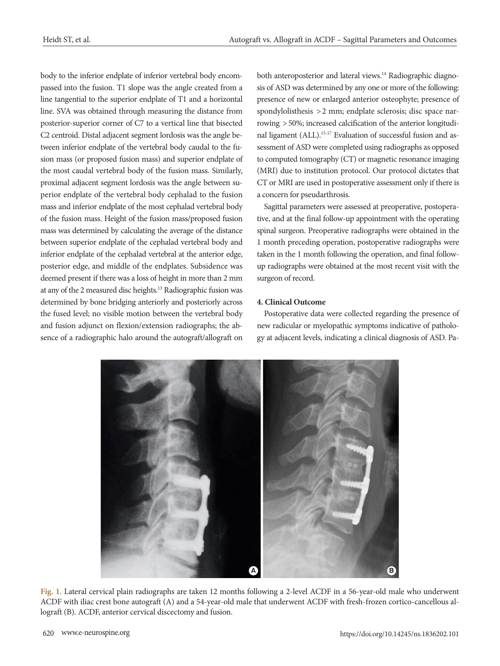body to the inferior endplate of inferior vertebral body encompassed into the fusion. T1 slope was the angle created from a line tangential to the superior endplate of T1 and a horizontal line. SVA was obtained through measuring the distance from posterior-superior corner of C7 to a vertical line that bisected C2 centroid. Distal adjacent segment lordosis was the angle between inferior endplate of the vertebral body caudal to the fusion mass (or proposed fusion mass) and superior endplate of the most caudal vertebral body of the fusion mass. Similarly, proximal adjacent segment lordosis was the angle between superior endplate of the vertebral body cephalad to the fusion mass and inferior endplate of the most cephalad vertebral body of the fusion mass. Height of the fusion mass/proposed fusion mass was determined by calculating the average of the distance between superior endplate of the cephalad vertebral body and inferior endplate of the cephalad vertebral at the anterior edge, posterior edge, and middle of the endplates. Subsidence was deemed present if there was a loss of height in more than 2 mm at any of the 2 measured disc heights.13 Radiographic fusion was determined by bone bridging anteriorly and posteriorly across the fused level; no visible motion between the vertebral body and fusion adjunct on flexion/extension radiographs; the absence of a radiographic halo around the autograft/allograft on

both anteroposterior and lateral views.<sup>14</sup> Radiographic diagnosis of ASD was determined by any one or more of the following: presence of new or enlarged anterior osteophyte; presence of spondylolisthesis > 2 mm; endplate sclerosis; disc space narrowing > 50%; increased calcification of the anterior longitudinal ligament (ALL).<sup>15-17</sup> Evaluation of successful fusion and assessment of ASD were completed using radiographs as opposed to computed tomography (CT) or magnetic resonance imaging (MRI) due to institution protocol. Our protocol dictates that CT or MRI are used in postoperative assessment only if there is a concern for pseudarthrosis.

Sagittal parameters were assessed at preoperative, postoperative, and at the final follow-up appointment with the operating spinal surgeon. Preoperative radiographs were obtained in the 1 month preceding operation, postoperative radiographs were taken in the 1 month following the operation, and final followup radiographs were obtained at the most recent visit with the surgeon of record.

### **4. Clinical Outcome**

Postoperative data were collected regarding the presence of new radicular or myelopathic symptoms indicative of pathology at adjacent levels, indicating a clinical diagnosis of ASD. Pa-



**Fig. 1.** Lateral cervical plain radiographs are taken 12 months following a 2-level ACDF in a 56-year-old male who underwent ACDF with iliac crest bone autograft (A) and a 54-year-old male that underwent ACDF with fresh-frozen cortico-cancellous allograft (B). ACDF, anterior cervical discectomy and fusion.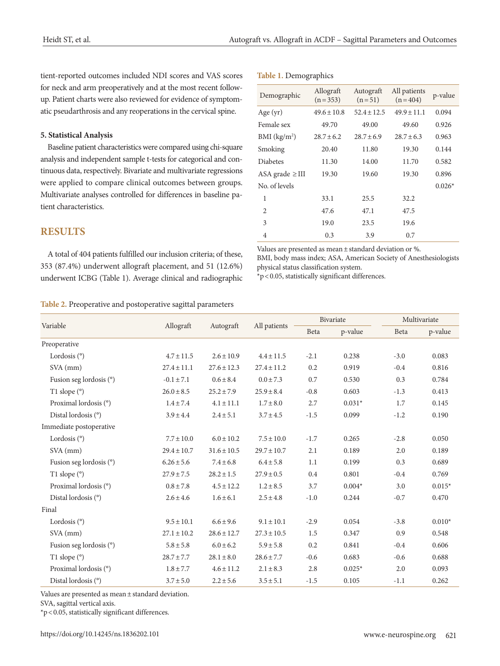tient-reported outcomes included NDI scores and VAS scores for neck and arm preoperatively and at the most recent followup. Patient charts were also reviewed for evidence of symptomatic pseudarthrosis and any reoperations in the cervical spine.

#### **5. Statistical Analysis**

Baseline patient characteristics were compared using chi-square analysis and independent sample t-tests for categorical and continuous data, respectively. Bivariate and multivariate regressions were applied to compare clinical outcomes between groups. Multivariate analyses controlled for differences in baseline patient characteristics.

# **RESULTS**

A total of 404 patients fulfilled our inclusion criteria; of these, 353 (87.4%) underwent allograft placement, and 51 (12.6%) underwent ICBG (Table 1). Average clinical and radiographic

#### **Table 1.** Demographics

| Demographic              | Allograft<br>$(n=353)$ | Autograft<br>$(n=51)$ | All patients<br>$(n = 404)$ | p-value  |
|--------------------------|------------------------|-----------------------|-----------------------------|----------|
| Age $(yr)$               | $49.6 \pm 10.8$        | $52.4 \pm 12.5$       | $49.9 \pm 11.1$             | 0.094    |
| Female sex               | 49.70                  | 49.00                 | 49.60                       | 0.926    |
| BMI (kg/m <sup>2</sup> ) | $28.7 \pm 6.2$         | $28.7 \pm 6.9$        | $28.7 \pm 6.3$              | 0.963    |
| Smoking                  | 20.40                  | 11.80                 | 19.30                       | 0.144    |
| <b>Diabetes</b>          | 11.30                  | 14.00                 | 11.70                       | 0.582    |
| ASA grade $\geq$ III     | 19.30                  | 19.60                 | 19.30                       | 0.896    |
| No. of levels            |                        |                       |                             | $0.026*$ |
| 1                        | 33.1                   | 25.5                  | 32.2                        |          |
| 2                        | 47.6                   | 47.1                  | 47.5                        |          |
| 3                        | 19.0                   | 23.5                  | 19.6                        |          |
| 4                        | 0.3                    | 3.9                   | 0.7                         |          |

Values are presented as mean ± standard deviation or %. BMI, body mass index; ASA, American Society of Anesthesiologists physical status classification system.

\*p < 0.05, statistically significant differences.

#### **Table 2.** Preoperative and postoperative sagittal parameters

|                         |                                        |                 |                 | Bivariate |          | Multivariate |          |
|-------------------------|----------------------------------------|-----------------|-----------------|-----------|----------|--------------|----------|
| Variable                | Allograft<br>All patients<br>Autograft |                 | Beta            | p-value   | Beta     | p-value      |          |
| Preoperative            |                                        |                 |                 |           |          |              |          |
| Lordosis $(°)$          | $4.7 \pm 11.5$                         | $2.6 \pm 10.9$  | $4.4 \pm 11.5$  | $-2.1$    | 0.238    | $-3.0$       | 0.083    |
| $SVA$ (mm)              | $27.4 \pm 11.1$                        | $27.6 \pm 12.3$ | $27.4 \pm 11.2$ | 0.2       | 0.919    | $-0.4$       | 0.816    |
| Fusion seg lordosis (°) | $-0.1 \pm 7.1$                         | $0.6 \pm 8.4$   | $0.0 \pm 7.3$   | 0.7       | 0.530    | 0.3          | 0.784    |
| T1 slope (°)            | $26.0 \pm 8.5$                         | $25.2 \pm 7.9$  | $25.9 \pm 8.4$  | $-0.8$    | 0.603    | $-1.3$       | 0.413    |
| Proximal lordosis (°)   | $1.4 \pm 7.4$                          | $4.1 \pm 11.1$  | $1.7 \pm 8.0$   | 2.7       | $0.031*$ | 1.7          | 0.145    |
| Distal lordosis (°)     | $3.9 \pm 4.4$                          | $2.4 \pm 5.1$   | $3.7 \pm 4.5$   | $-1.5$    | 0.099    | $-1.2$       | 0.190    |
| Immediate postoperative |                                        |                 |                 |           |          |              |          |
| Lordosis $(°)$          | $7.7 \pm 10.0$                         | $6.0 \pm 10.2$  | $7.5 \pm 10.0$  | $-1.7$    | 0.265    | $-2.8$       | 0.050    |
| SVA (mm)                | $29.4 \pm 10.7$                        | $31.6 \pm 10.5$ | $29.7 \pm 10.7$ | 2.1       | 0.189    | 2.0          | 0.189    |
| Fusion seg lordosis (°) | $6.26 \pm 5.6$                         | $7.4 \pm 6.8$   | $6.4 \pm 5.8$   | 1.1       | 0.199    | 0.3          | 0.689    |
| T1 slope $(°)$          | $27.9 \pm 7.5$                         | $28.2 \pm 1.5$  | $27.9 \pm 0.5$  | 0.4       | 0.801    | $-0.4$       | 0.769    |
| Proximal lordosis (°)   | $0.8 \pm 7.8$                          | $4.5 \pm 12.2$  | $1.2 \pm 8.5$   | 3.7       | $0.004*$ | 3.0          | $0.015*$ |
| Distal lordosis (°)     | $2.6 \pm 4.6$                          | $1.6 \pm 6.1$   | $2.5 \pm 4.8$   | $-1.0$    | 0.244    | $-0.7$       | 0.470    |
| Final                   |                                        |                 |                 |           |          |              |          |
| Lordosis $(°)$          | $9.5 \pm 10.1$                         | $6.6 \pm 9.6$   | $9.1 \pm 10.1$  | $-2.9$    | 0.054    | $-3.8$       | $0.010*$ |
| SVA (mm)                | $27.1 \pm 10.2$                        | $28.6 \pm 12.7$ | $27.3 \pm 10.5$ | 1.5       | 0.347    | 0.9          | 0.548    |
| Fusion seg lordosis (°) | $5.8\pm5.8$                            | $6.0 \pm 6.2$   | $5.9 \pm 5.8$   | 0.2       | 0.841    | $-0.4$       | 0.606    |
| T1 slope $(°)$          | $28.7 \pm 7.7$                         | $28.1 \pm 8.0$  | $28.6 \pm 7.7$  | $-0.6$    | 0.683    | $-0.6$       | 0.688    |
| Proximal lordosis (°)   | $1.8 \pm 7.7$                          | $4.6 \pm 11.2$  | $2.1 \pm 8.3$   | 2.8       | $0.025*$ | 2.0          | 0.093    |
| Distal lordosis (°)     | $3.7 \pm 5.0$                          | $2.2 \pm 5.6$   | $3.5 \pm 5.1$   | $-1.5$    | 0.105    | $-1.1$       | 0.262    |

Values are presented as mean ± standard deviation.

SVA, sagittal vertical axis.

\*p < 0.05, statistically significant differences.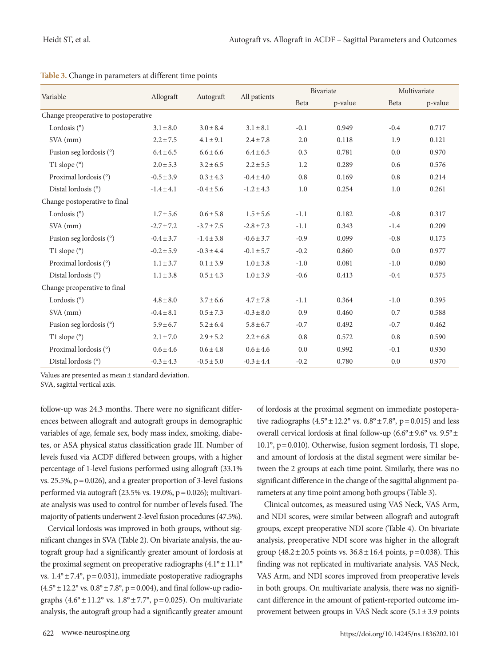|                                      |                | Autograft      | All patients   | Bivariate |         | Multivariate |         |
|--------------------------------------|----------------|----------------|----------------|-----------|---------|--------------|---------|
| Variable                             | Allograft      |                |                | Beta      | p-value | Beta         | p-value |
| Change preoperative to postoperative |                |                |                |           |         |              |         |
| Lordosis $(°)$                       | $3.1 \pm 8.0$  | $3.0 \pm 8.4$  | $3.1 \pm 8.1$  | $-0.1$    | 0.949   | $-0.4$       | 0.717   |
| $SVA$ (mm)                           | $2.2 \pm 7.5$  | $4.1 \pm 9.1$  | $2.4 \pm 7.8$  | 2.0       | 0.118   | 1.9          | 0.121   |
| Fusion seg lordosis (°)              | $6.4 \pm 6.5$  | $6.6 \pm 6.6$  | $6.4 \pm 6.5$  | 0.3       | 0.781   | 0.0          | 0.970   |
| T1 slope $(°)$                       | $2.0 \pm 5.3$  | $3.2 \pm 6.5$  | $2.2 \pm 5.5$  | 1.2       | 0.289   | 0.6          | 0.576   |
| Proximal lordosis (°)                | $-0.5 \pm 3.9$ | $0.3 \pm 4.3$  | $-0.4 \pm 4.0$ | 0.8       | 0.169   | 0.8          | 0.214   |
| Distal lordosis (°)                  | $-1.4 \pm 4.1$ | $-0.4 \pm 5.6$ | $-1.2 \pm 4.3$ | 1.0       | 0.254   | 1.0          | 0.261   |
| Change postoperative to final        |                |                |                |           |         |              |         |
| Lordosis $(°)$                       | $1.7 \pm 5.6$  | $0.6 \pm 5.8$  | $1.5 \pm 5.6$  | $-1.1$    | 0.182   | $-0.8$       | 0.317   |
| $SVA$ (mm)                           | $-2.7 \pm 7.2$ | $-3.7 \pm 7.5$ | $-2.8 \pm 7.3$ | $-1.1$    | 0.343   | $-1.4$       | 0.209   |
| Fusion seg lordosis (°)              | $-0.4 \pm 3.7$ | $-1.4 \pm 3.8$ | $-0.6 \pm 3.7$ | $-0.9$    | 0.099   | $-0.8$       | 0.175   |
| T1 slope (°)                         | $-0.2 \pm 5.9$ | $-0.3 \pm 4.4$ | $-0.1 \pm 5.7$ | $-0.2$    | 0.860   | 0.0          | 0.977   |
| Proximal lordosis (°)                | $1.1 \pm 3.7$  | $0.1 \pm 3.9$  | $1.0 \pm 3.8$  | $-1.0$    | 0.081   | $-1.0$       | 0.080   |
| Distal lordosis (°)                  | $1.1 \pm 3.8$  | $0.5 \pm 4.3$  | $1.0 \pm 3.9$  | $-0.6$    | 0.413   | $-0.4$       | 0.575   |
| Change preoperative to final         |                |                |                |           |         |              |         |
| Lordosis $(°)$                       | $4.8 \pm 8.0$  | $3.7 \pm 6.6$  | $4.7 \pm 7.8$  | $-1.1$    | 0.364   | $-1.0$       | 0.395   |
| $SVA$ (mm)                           | $-0.4 \pm 8.1$ | $0.5 \pm 7.3$  | $-0.3 \pm 8.0$ | 0.9       | 0.460   | 0.7          | 0.588   |
| Fusion seg lordosis (°)              | $5.9 \pm 6.7$  | $5.2 \pm 6.4$  | $5.8 \pm 6.7$  | $-0.7$    | 0.492   | $-0.7$       | 0.462   |
| T1 slope $(°)$                       | $2.1 \pm 7.0$  | $2.9 \pm 5.2$  | $2.2 \pm 6.8$  | 0.8       | 0.572   | 0.8          | 0.590   |
| Proximal lordosis (°)                | $0.6 \pm 4.6$  | $0.6 \pm 4.8$  | $0.6 \pm 4.6$  | 0.0       | 0.992   | $-0.1$       | 0.930   |
| Distal lordosis (°)                  | $-0.3 \pm 4.3$ | $-0.5 \pm 5.0$ | $-0.3 \pm 4.4$ | $-0.2$    | 0.780   | 0.0          | 0.970   |

|  |  | Table 3. Change in parameters at different time points |  |  |
|--|--|--------------------------------------------------------|--|--|
|--|--|--------------------------------------------------------|--|--|

Values are presented as mean ± standard deviation.

SVA, sagittal vertical axis.

follow-up was 24.3 months. There were no significant differences between allograft and autograft groups in demographic variables of age, female sex, body mass index, smoking, diabetes, or ASA physical status classification grade III. Number of levels fused via ACDF differed between groups, with a higher percentage of 1-level fusions performed using allograft (33.1% vs. 25.5%,  $p = 0.026$ ), and a greater proportion of 3-level fusions performed via autograft  $(23.5\% \text{ vs. } 19.0\%, \text{ p} = 0.026)$ ; multivariate analysis was used to control for number of levels fused. The majority of patients underwent 2-level fusion procedures (47.5%).

Cervical lordosis was improved in both groups, without significant changes in SVA (Table 2). On bivariate analysis, the autograft group had a significantly greater amount of lordosis at the proximal segment on preoperative radiographs  $(4.1^{\circ} \pm 11.1^{\circ}$ vs.  $1.4^{\circ} \pm 7.4^{\circ}$ , p = 0.031), immediate postoperative radiographs  $(4.5^{\circ} \pm 12.2^{\circ}$  vs.  $0.8^{\circ} \pm 7.8^{\circ}$ , p = 0.004), and final follow-up radiographs  $(4.6^{\circ} \pm 11.2^{\circ}$  vs.  $1.8^{\circ} \pm 7.7^{\circ}$ , p = 0.025). On multivariate analysis, the autograft group had a significantly greater amount of lordosis at the proximal segment on immediate postoperative radiographs  $(4.5^{\circ} \pm 12.2^{\circ} \text{ vs. } 0.8^{\circ} \pm 7.8^{\circ}, \text{ p} = 0.015)$  and less overall cervical lordosis at final follow-up ( $6.6^{\circ} \pm 9.6^{\circ}$  vs.  $9.5^{\circ} \pm$ 10.1°, p= 0.010). Otherwise, fusion segment lordosis, T1 slope, and amount of lordosis at the distal segment were similar between the 2 groups at each time point. Similarly, there was no significant difference in the change of the sagittal alignment parameters at any time point among both groups (Table 3).

Clinical outcomes, as measured using VAS Neck, VAS Arm, and NDI scores, were similar between allograft and autograft groups, except preoperative NDI score (Table 4). On bivariate analysis, preoperative NDI score was higher in the allograft group  $(48.2 \pm 20.5 \text{ points vs. } 36.8 \pm 16.4 \text{ points, } p = 0.038)$ . This finding was not replicated in multivariate analysis. VAS Neck, VAS Arm, and NDI scores improved from preoperative levels in both groups. On multivariate analysis, there was no significant difference in the amount of patient-reported outcome improvement between groups in VAS Neck score  $(5.1 \pm 3.9 \text{ points})$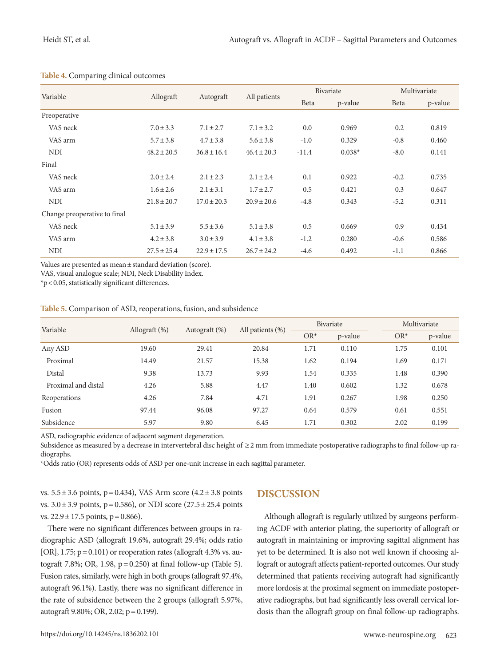|                              |                 | Autograft       | All patients    | Bivariate |          | Multivariate |         |
|------------------------------|-----------------|-----------------|-----------------|-----------|----------|--------------|---------|
| Variable                     | Allograft       |                 |                 | Beta      | p-value  | Beta         | p-value |
| Preoperative                 |                 |                 |                 |           |          |              |         |
| VAS neck                     | $7.0 \pm 3.3$   | $7.1 \pm 2.7$   | $7.1 \pm 3.2$   | 0.0       | 0.969    | 0.2          | 0.819   |
| VAS arm                      | $5.7 \pm 3.8$   | $4.7 \pm 3.8$   | $5.6 \pm 3.8$   | $-1.0$    | 0.329    | $-0.8$       | 0.460   |
| <b>NDI</b>                   | $48.2 \pm 20.5$ | $36.8 \pm 16.4$ | $46.4 \pm 20.3$ | $-11.4$   | $0.038*$ | $-8.0$       | 0.141   |
| Final                        |                 |                 |                 |           |          |              |         |
| VAS neck                     | $2.0 \pm 2.4$   | $2.1 \pm 2.3$   | $2.1 \pm 2.4$   | 0.1       | 0.922    | $-0.2$       | 0.735   |
| VAS arm                      | $1.6 \pm 2.6$   | $2.1 \pm 3.1$   | $1.7 + 2.7$     | 0.5       | 0.421    | 0.3          | 0.647   |
| <b>NDI</b>                   | $21.8 \pm 20.7$ | $17.0 \pm 20.3$ | $20.9 \pm 20.6$ | $-4.8$    | 0.343    | $-5.2$       | 0.311   |
| Change preoperative to final |                 |                 |                 |           |          |              |         |
| VAS neck                     | $5.1 \pm 3.9$   | $5.5 \pm 3.6$   | $5.1 \pm 3.8$   | 0.5       | 0.669    | 0.9          | 0.434   |
| VAS arm                      | $4.2 \pm 3.8$   | $3.0 \pm 3.9$   | $4.1 \pm 3.8$   | $-1.2$    | 0.280    | $-0.6$       | 0.586   |
| <b>NDI</b>                   | $27.5 \pm 25.4$ | $22.9 \pm 17.5$ | $26.7 \pm 24.2$ | $-4.6$    | 0.492    | $-1.1$       | 0.866   |

#### **Table 4.** Comparing clinical outcomes

Values are presented as mean ± standard deviation (score).

VAS, visual analogue scale; NDI, Neck Disability Index.

\*p < 0.05, statistically significant differences.

| Table 5. Comparison of ASD, reoperations, fusion, and subsidence |  |  |  |  |  |  |  |
|------------------------------------------------------------------|--|--|--|--|--|--|--|
|------------------------------------------------------------------|--|--|--|--|--|--|--|

| Variable            | Allograft $(\%)$ | Autograft (%) | All patients $(\%)$ | Bivariate |         | Multivariate |         |
|---------------------|------------------|---------------|---------------------|-----------|---------|--------------|---------|
|                     |                  |               |                     | $OR^*$    | p-value | $OR^*$       | p-value |
| Any ASD             | 19.60            | 29.41         | 20.84               | 1.71      | 0.110   | 1.75         | 0.101   |
| Proximal            | 14.49            | 21.57         | 15.38               | 1.62      | 0.194   | 1.69         | 0.171   |
| Distal              | 9.38             | 13.73         | 9.93                | 1.54      | 0.335   | 1.48         | 0.390   |
| Proximal and distal | 4.26             | 5.88          | 4.47                | 1.40      | 0.602   | 1.32         | 0.678   |
| Reoperations        | 4.26             | 7.84          | 4.71                | 1.91      | 0.267   | 1.98         | 0.250   |
| Fusion              | 97.44            | 96.08         | 97.27               | 0.64      | 0.579   | 0.61         | 0.551   |
| Subsidence          | 5.97             | 9.80          | 6.45                | 1.71      | 0.302   | 2.02         | 0.199   |

ASD, radiographic evidence of adjacent segment degeneration.

Subsidence as measured by a decrease in intervertebral disc height of ≥ 2 mm from immediate postoperative radiographs to final follow-up radiographs.

\*Odds ratio (OR) represents odds of ASD per one-unit increase in each sagittal parameter.

vs.  $5.5 \pm 3.6$  points, p=0.434), VAS Arm score  $(4.2 \pm 3.8$  points vs.  $3.0 \pm 3.9$  points, p= 0.586), or NDI score (27.5  $\pm$  25.4 points vs.  $22.9 \pm 17.5$  points,  $p = 0.866$ ).

There were no significant differences between groups in radiographic ASD (allograft 19.6%, autograft 29.4%; odds ratio [OR],  $1.75$ ;  $p = 0.101$ ) or reoperation rates (allograft 4.3% vs. autograft 7.8%; OR, 1.98, p= 0.250) at final follow-up (Table 5). Fusion rates, similarly, were high in both groups (allograft 97.4%, autograft 96.1%). Lastly, there was no significant difference in the rate of subsidence between the 2 groups (allograft 5.97%, autograft 9.80%; OR, 2.02; p= 0.199).

# **DISCUSSION**

Although allograft is regularly utilized by surgeons performing ACDF with anterior plating, the superiority of allograft or autograft in maintaining or improving sagittal alignment has yet to be determined. It is also not well known if choosing allograft or autograft affects patient-reported outcomes. Our study determined that patients receiving autograft had significantly more lordosis at the proximal segment on immediate postoperative radiographs, but had significantly less overall cervical lordosis than the allograft group on final follow-up radiographs.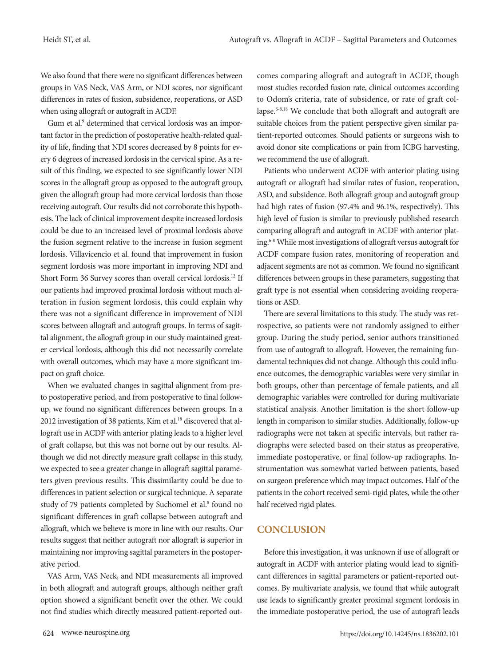We also found that there were no significant differences between groups in VAS Neck, VAS Arm, or NDI scores, nor significant differences in rates of fusion, subsidence, reoperations, or ASD when using allograft or autograft in ACDF.

Gum et al.<sup>9</sup> determined that cervical lordosis was an important factor in the prediction of postoperative health-related quality of life, finding that NDI scores decreased by 8 points for every 6 degrees of increased lordosis in the cervical spine. As a result of this finding, we expected to see significantly lower NDI scores in the allograft group as opposed to the autograft group, given the allograft group had more cervical lordosis than those receiving autograft. Our results did not corroborate this hypothesis. The lack of clinical improvement despite increased lordosis could be due to an increased level of proximal lordosis above the fusion segment relative to the increase in fusion segment lordosis. Villavicencio et al. found that improvement in fusion segment lordosis was more important in improving NDI and Short Form 36 Survey scores than overall cervical lordosis.<sup>12</sup> If our patients had improved proximal lordosis without much alteration in fusion segment lordosis, this could explain why there was not a significant difference in improvement of NDI scores between allograft and autograft groups. In terms of sagittal alignment, the allograft group in our study maintained greater cervical lordosis, although this did not necessarily correlate with overall outcomes, which may have a more significant impact on graft choice.

When we evaluated changes in sagittal alignment from preto postoperative period, and from postoperative to final followup, we found no significant differences between groups. In a 2012 investigation of 38 patients, Kim et al.<sup>18</sup> discovered that allograft use in ACDF with anterior plating leads to a higher level of graft collapse, but this was not borne out by our results. Although we did not directly measure graft collapse in this study, we expected to see a greater change in allograft sagittal parameters given previous results. This dissimilarity could be due to differences in patient selection or surgical technique. A separate study of 79 patients completed by Suchomel et al.<sup>8</sup> found no significant differences in graft collapse between autograft and allograft, which we believe is more in line with our results. Our results suggest that neither autograft nor allograft is superior in maintaining nor improving sagittal parameters in the postoperative period.

VAS Arm, VAS Neck, and NDI measurements all improved in both allograft and autograft groups, although neither graft option showed a significant benefit over the other. We could not find studies which directly measured patient-reported outcomes comparing allograft and autograft in ACDF, though most studies recorded fusion rate, clinical outcomes according to Odom's criteria, rate of subsidence, or rate of graft collapse.6-8,18 We conclude that both allograft and autograft are suitable choices from the patient perspective given similar patient-reported outcomes. Should patients or surgeons wish to avoid donor site complications or pain from ICBG harvesting, we recommend the use of allograft.

Patients who underwent ACDF with anterior plating using autograft or allograft had similar rates of fusion, reoperation, ASD, and subsidence. Both allograft group and autograft group had high rates of fusion (97.4% and 96.1%, respectively). This high level of fusion is similar to previously published research comparing allograft and autograft in ACDF with anterior plating.6-8 While most investigations of allograft versus autograft for ACDF compare fusion rates, monitoring of reoperation and adjacent segments are not as common. We found no significant differences between groups in these parameters, suggesting that graft type is not essential when considering avoiding reoperations or ASD.

There are several limitations to this study. The study was retrospective, so patients were not randomly assigned to either group. During the study period, senior authors transitioned from use of autograft to allograft. However, the remaining fundamental techniques did not change. Although this could influence outcomes, the demographic variables were very similar in both groups, other than percentage of female patients, and all demographic variables were controlled for during multivariate statistical analysis. Another limitation is the short follow-up length in comparison to similar studies. Additionally, follow-up radiographs were not taken at specific intervals, but rather radiographs were selected based on their status as preoperative, immediate postoperative, or final follow-up radiographs. Instrumentation was somewhat varied between patients, based on surgeon preference which may impact outcomes. Half of the patients in the cohort received semi-rigid plates, while the other half received rigid plates.

# **CONCLUSION**

Before this investigation, it was unknown if use of allograft or autograft in ACDF with anterior plating would lead to significant differences in sagittal parameters or patient-reported outcomes. By multivariate analysis, we found that while autograft use leads to significantly greater proximal segment lordosis in the immediate postoperative period, the use of autograft leads